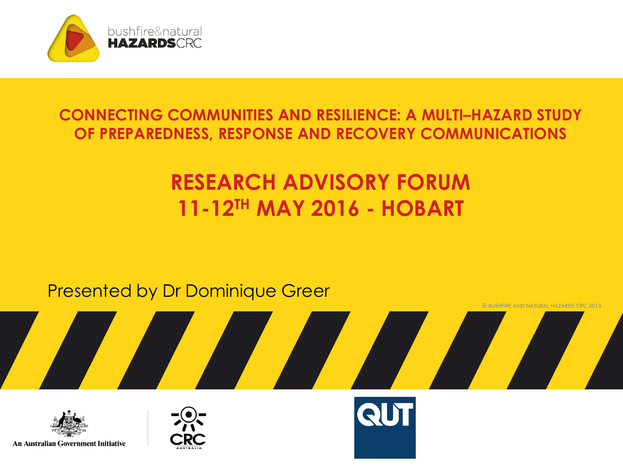

#### **CONNECTING COMMUNITIES AND RESILIENCE: A MULTI–HAZARD STUDY OF PREPAREDNESS, RESPONSE AND RECOVERY COMMUNICATIONS**

### **RESEARCH ADVISORY FORUM 11-12TH MAY 2016 - HOBART**

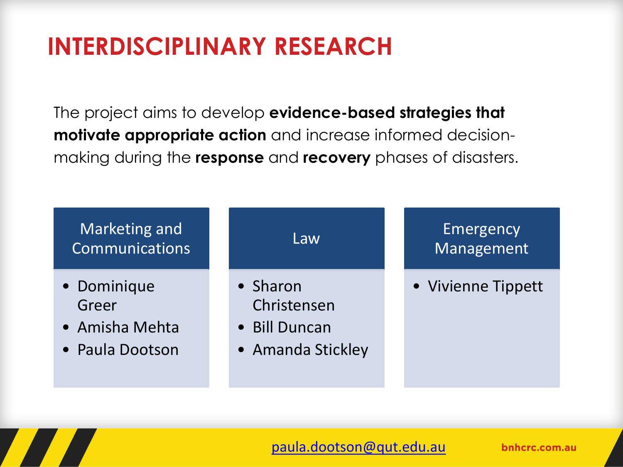### **INTERDISCIPLINARY RESEARCH**

The project aims to develop **evidence-based strategies that motivate appropriate action** and increase informed decisionmaking during the **response** and **recovery** phases of disasters.



#### [paula.dootson@qut.edu.au](mailto:paula.dootson@qut.edu.au)

bnhcrc.com.au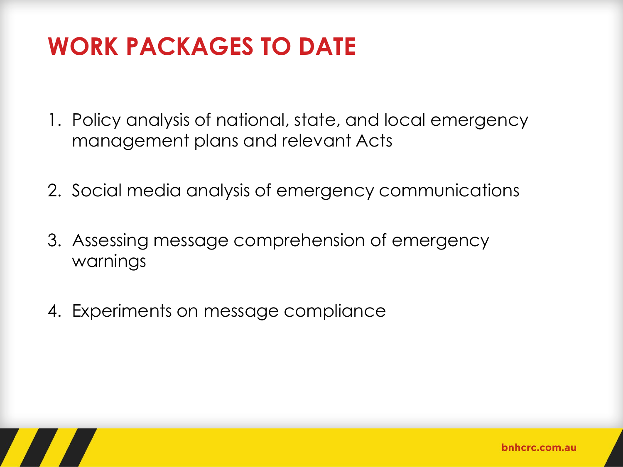### **WORK PACKAGES TO DATE**

- 1. Policy analysis of national, state, and local emergency management plans and relevant Acts
- 2. Social media analysis of emergency communications
- 3. Assessing message comprehension of emergency warnings
- 4. Experiments on message compliance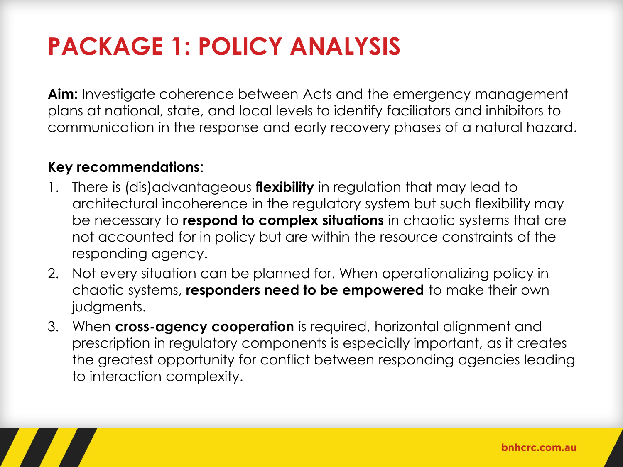## **PACKAGE 1: POLICY ANALYSIS**

**Aim:** Investigate coherence between Acts and the emergency management plans at national, state, and local levels to identify faciliators and inhibitors to communication in the response and early recovery phases of a natural hazard.

#### **Key recommendations**:

- 1. There is (dis)advantageous **flexibility** in regulation that may lead to architectural incoherence in the regulatory system but such flexibility may be necessary to **respond to complex situations** in chaotic systems that are not accounted for in policy but are within the resource constraints of the responding agency.
- 2. Not every situation can be planned for. When operationalizing policy in chaotic systems, **responders need to be empowered** to make their own judgments.
- 3. When **cross-agency cooperation** is required, horizontal alignment and prescription in regulatory components is especially important, as it creates the greatest opportunity for conflict between responding agencies leading to interaction complexity.

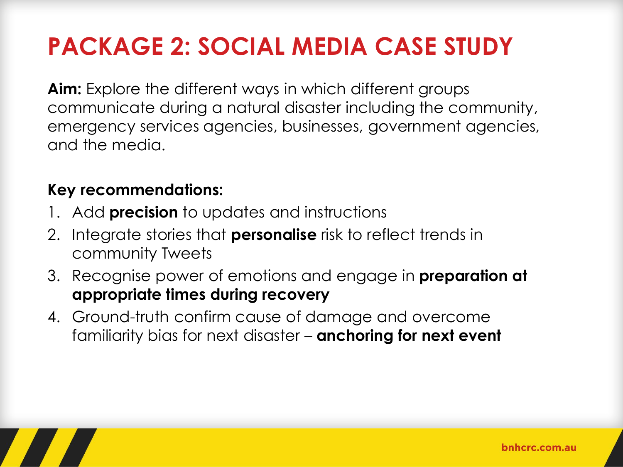# **PACKAGE 2: SOCIAL MEDIA CASE STUDY**

**Aim:** Explore the different ways in which different groups communicate during a natural disaster including the community, emergency services agencies, businesses, government agencies, and the media.

#### **Key recommendations:**

- 1. Add **precision** to updates and instructions
- 2. Integrate stories that **personalise** risk to reflect trends in community Tweets
- 3. Recognise power of emotions and engage in **preparation at appropriate times during recovery**
- 4. Ground-truth confirm cause of damage and overcome familiarity bias for next disaster – **anchoring for next event**

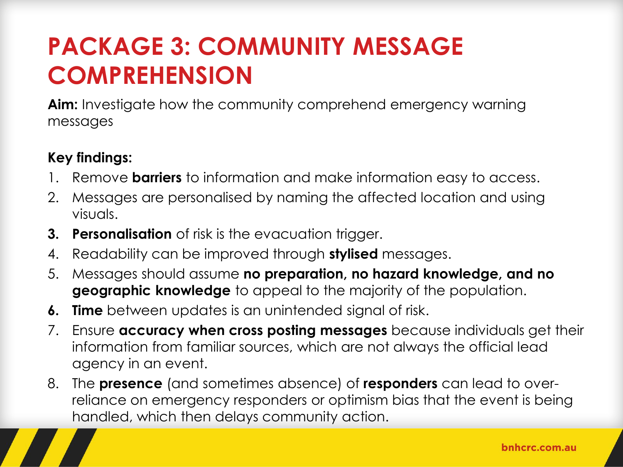### **PACKAGE 3: COMMUNITY MESSAGE COMPREHENSION**

**Aim:** Investigate how the community comprehend emergency warning messages

#### **Key findings:**

- 1. Remove **barriers** to information and make information easy to access.
- 2. Messages are personalised by naming the affected location and using visuals.
- **3. Personalisation** of risk is the evacuation trigger.
- 4. Readability can be improved through **stylised** messages.
- 5. Messages should assume **no preparation, no hazard knowledge, and no geographic knowledge** to appeal to the majority of the population.
- **6. Time** between updates is an unintended signal of risk.
- 7. Ensure **accuracy when cross posting messages** because individuals get their information from familiar sources, which are not always the official lead agency in an event.
- 8. The **presence** (and sometimes absence) of **responders** can lead to overreliance on emergency responders or optimism bias that the event is being handled, which then delays community action.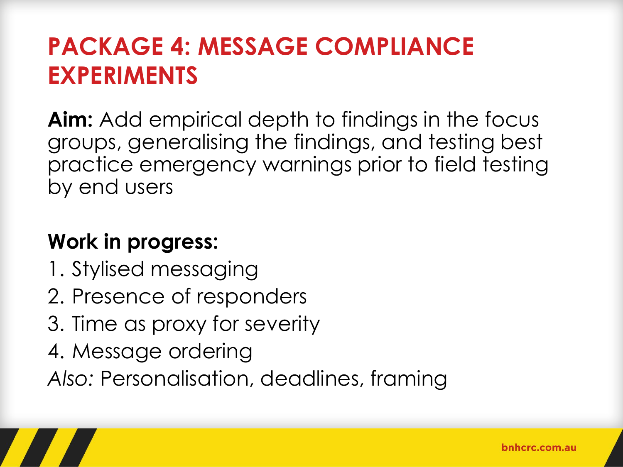### **PACKAGE 4: MESSAGE COMPLIANCE EXPERIMENTS**

**Aim:** Add empirical depth to findings in the focus groups, generalising the findings, and testing best practice emergency warnings prior to field testing by end users

### **Work in progress:**

- 1. Stylised messaging
- 2. Presence of responders
- 3. Time as proxy for severity
- 4. Message ordering
- Also: Personalisation, deadlines, framing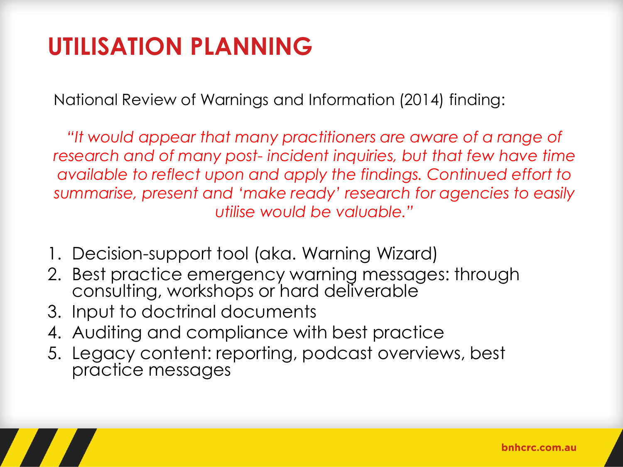### **UTILISATION PLANNING**

National Review of Warnings and Information (2014) finding:

*"It would appear that many practitioners are aware of a range of research and of many post- incident inquiries, but that few have time available to reflect upon and apply the findings. Continued effort to summarise, present and 'make ready' research for agencies to easily utilise would be valuable."* 

- 1. Decision-support tool (aka. Warning Wizard)
- 2. Best practice emergency warning messages: through consulting, workshops or hard deliverable
- 3. Input to doctrinal documents
- 4. Auditing and compliance with best practice
- 5. Legacy content: reporting, podcast overviews, best practice messages